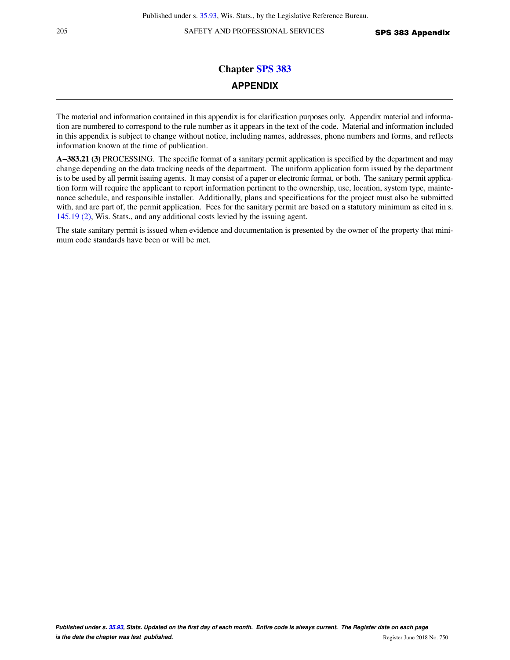205 SAFETY AND PROFESSIONAL SERVICES SPS 383 Appendix

# **Chapter [SPS 383](https://docs-preview.legis.wisconsin.gov/document/administrativecode/ch.%20SPS%20383) APPENDIX**

The material and information contained in this appendix is for clarification purposes only. Appendix material and information are numbered to correspond to the rule number as it appears in the text of the code. Material and information included in this appendix is subject to change without notice, including names, addresses, phone numbers and forms, and reflects information known at the time of publication.

**A−383.21 (3)** PROCESSING. The specific format of a sanitary permit application is specified by the department and may change depending on the data tracking needs of the department. The uniform application form issued by the department is to be used by all permit issuing agents. It may consist of a paper or electronic format, or both. The sanitary permit application form will require the applicant to report information pertinent to the ownership, use, location, system type, maintenance schedule, and responsible installer. Additionally, plans and specifications for the project must also be submitted with, and are part of, the permit application. Fees for the sanitary permit are based on a statutory minimum as cited in s. [145.19 \(2\)](https://docs-preview.legis.wisconsin.gov/document/statutes/145.19(2)), Wis. Stats., and any additional costs levied by the issuing agent.

The state sanitary permit is issued when evidence and documentation is presented by the owner of the property that minimum code standards have been or will be met.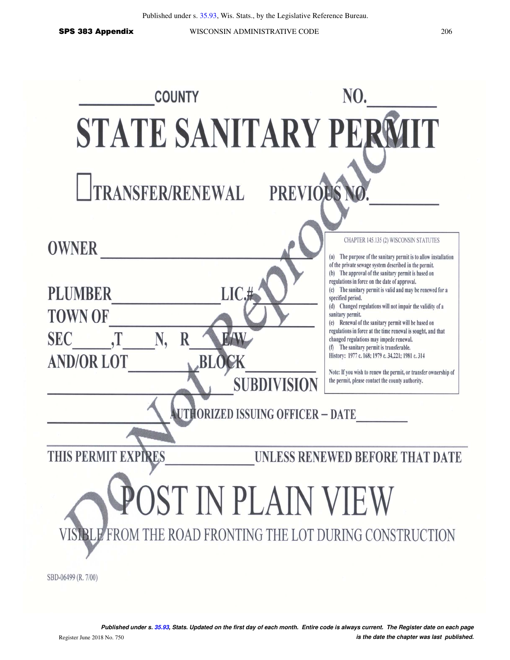SPS 383 Appendix WISCONSIN ADMINISTRATIVE CODE 206

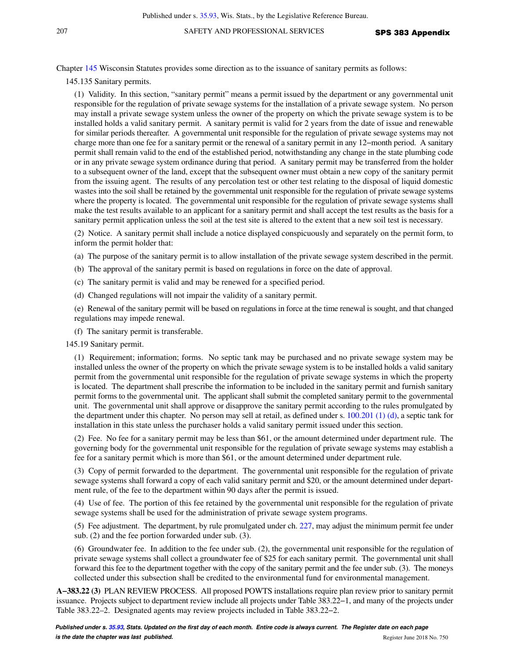Chapter [145](https://docs-preview.legis.wisconsin.gov/document/statutes/ch.%20145) Wisconsin Statutes provides some direction as to the issuance of sanitary permits as follows:

145.135 Sanitary permits.

(1) Validity. In this section, "sanitary permit" means a permit issued by the department or any governmental unit responsible for the regulation of private sewage systems for the installation of a private sewage system. No person may install a private sewage system unless the owner of the property on which the private sewage system is to be installed holds a valid sanitary permit. A sanitary permit is valid for 2 years from the date of issue and renewable for similar periods thereafter. A governmental unit responsible for the regulation of private sewage systems may not charge more than one fee for a sanitary permit or the renewal of a sanitary permit in any 12−month period. A sanitary permit shall remain valid to the end of the established period, notwithstanding any change in the state plumbing code or in any private sewage system ordinance during that period. A sanitary permit may be transferred from the holder to a subsequent owner of the land, except that the subsequent owner must obtain a new copy of the sanitary permit from the issuing agent. The results of any percolation test or other test relating to the disposal of liquid domestic wastes into the soil shall be retained by the governmental unit responsible for the regulation of private sewage systems where the property is located. The governmental unit responsible for the regulation of private sewage systems shall make the test results available to an applicant for a sanitary permit and shall accept the test results as the basis for a sanitary permit application unless the soil at the test site is altered to the extent that a new soil test is necessary.

(2) Notice. A sanitary permit shall include a notice displayed conspicuously and separately on the permit form, to inform the permit holder that:

(a) The purpose of the sanitary permit is to allow installation of the private sewage system described in the permit.

- (b) The approval of the sanitary permit is based on regulations in force on the date of approval.
- (c) The sanitary permit is valid and may be renewed for a specified period.
- (d) Changed regulations will not impair the validity of a sanitary permit.

(e) Renewal of the sanitary permit will be based on regulations in force at the time renewal is sought, and that changed regulations may impede renewal.

(f) The sanitary permit is transferable.

145.19 Sanitary permit.

(1) Requirement; information; forms. No septic tank may be purchased and no private sewage system may be installed unless the owner of the property on which the private sewage system is to be installed holds a valid sanitary permit from the governmental unit responsible for the regulation of private sewage systems in which the property is located. The department shall prescribe the information to be included in the sanitary permit and furnish sanitary permit forms to the governmental unit. The applicant shall submit the completed sanitary permit to the governmental unit. The governmental unit shall approve or disapprove the sanitary permit according to the rules promulgated by the department under this chapter. No person may sell at retail, as defined under s.  $100.201$  (1) (d), a septic tank for installation in this state unless the purchaser holds a valid sanitary permit issued under this section.

(2) Fee. No fee for a sanitary permit may be less than \$61, or the amount determined under department rule. The governing body for the governmental unit responsible for the regulation of private sewage systems may establish a fee for a sanitary permit which is more than \$61, or the amount determined under department rule.

(3) Copy of permit forwarded to the department. The governmental unit responsible for the regulation of private sewage systems shall forward a copy of each valid sanitary permit and \$20, or the amount determined under department rule, of the fee to the department within 90 days after the permit is issued.

(4) Use of fee. The portion of this fee retained by the governmental unit responsible for the regulation of private sewage systems shall be used for the administration of private sewage system programs.

(5) Fee adjustment. The department, by rule promulgated under ch. [227,](https://docs-preview.legis.wisconsin.gov/document/statutes/ch.%20227) may adjust the minimum permit fee under sub. (2) and the fee portion forwarded under sub. (3).

(6) Groundwater fee. In addition to the fee under sub. (2), the governmental unit responsible for the regulation of private sewage systems shall collect a groundwater fee of \$25 for each sanitary permit. The governmental unit shall forward this fee to the department together with the copy of the sanitary permit and the fee under sub. (3). The moneys collected under this subsection shall be credited to the environmental fund for environmental management.

**A−383.22 (3)** PLAN REVIEW PROCESS. All proposed POWTS installations require plan review prior to sanitary permit issuance. Projects subject to department review include all projects under Table 383.22−1, and many of the projects under Table 383.22–2. Designated agents may review projects included in Table 383.22−2.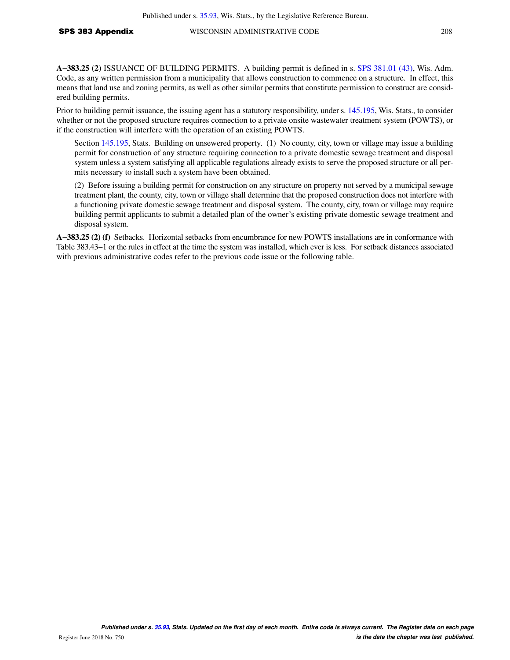**A−383.25 (2)** ISSUANCE OF BUILDING PERMITS. A building permit is defined in s. [SPS 381.01 \(43\),](https://docs-preview.legis.wisconsin.gov/document/administrativecode/SPS%20381.01(43)) Wis. Adm. Code, as any written permission from a municipality that allows construction to commence on a structure. In effect, this means that land use and zoning permits, as well as other similar permits that constitute permission to construct are considered building permits.

Prior to building permit issuance, the issuing agent has a statutory responsibility, under s. [145.195](https://docs-preview.legis.wisconsin.gov/document/statutes/145.195), Wis. Stats., to consider whether or not the proposed structure requires connection to a private onsite wastewater treatment system (POWTS), or if the construction will interfere with the operation of an existing POWTS.

Section [145.195,](https://docs-preview.legis.wisconsin.gov/document/statutes/145.195) Stats. Building on unsewered property. (1) No county, city, town or village may issue a building permit for construction of any structure requiring connection to a private domestic sewage treatment and disposal system unless a system satisfying all applicable regulations already exists to serve the proposed structure or all permits necessary to install such a system have been obtained.

(2) Before issuing a building permit for construction on any structure on property not served by a municipal sewage treatment plant, the county, city, town or village shall determine that the proposed construction does not interfere with a functioning private domestic sewage treatment and disposal system. The county, city, town or village may require building permit applicants to submit a detailed plan of the owner's existing private domestic sewage treatment and disposal system.

**A−383.25 (2) (f)** Setbacks. Horizontal setbacks from encumbrance for new POWTS installations are in conformance with Table 383.43−1 or the rules in effect at the time the system was installed, which ever is less. For setback distances associated with previous administrative codes refer to the previous code issue or the following table.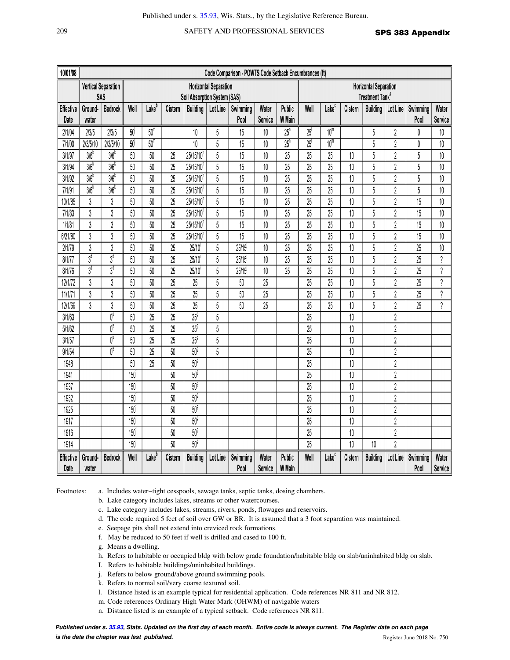# 209 SAFETY AND PROFESSIONAL SERVICES SPS 383 Appendix

| 10/01/08                 | Code Comparison - POWTS Code Setback Encumbrances (ft) |                  |                              |                              |                 |                         |                |                  |                             |                   |                              |                   |                 |                 |                |                  |                     |
|--------------------------|--------------------------------------------------------|------------------|------------------------------|------------------------------|-----------------|-------------------------|----------------|------------------|-----------------------------|-------------------|------------------------------|-------------------|-----------------|-----------------|----------------|------------------|---------------------|
|                          | <b>Vertical Separation</b>                             |                  |                              | <b>Horizontal Separation</b> |                 |                         |                |                  |                             |                   | <b>Horizontal Separation</b> |                   |                 |                 |                |                  |                     |
|                          | SAS                                                    |                  | Soil Absorption System (SAS) |                              |                 |                         |                |                  | Treatment Tank <sup>a</sup> |                   |                              |                   |                 |                 |                |                  |                     |
| <b>Effective</b>         | Ground-                                                | Bedrock          | Well                         | Lake <sup>b</sup>            | Cistern         | <b>Building</b>         | Lot Line       | Swimming         | Water                       | Public            | Well                         | Lake <sup>c</sup> | Cistern         | <b>Building</b> | Lot Line       | Swimming         | Water               |
| Date                     | water                                                  |                  |                              |                              |                 |                         |                | Pool             | Service                     | W Main            |                              |                   |                 |                 |                | Pool             | Service             |
| 2/1/04                   | 2/3/5                                                  | 2/3/5            | 50                           | 50 <sup>m</sup>              |                 | $10\,$                  | 5              | 15               | $10$                        | $25$ <sup>n</sup> | 25                           | 10 <sup>m</sup>   |                 | 5               | $\sqrt{2}$     | 0                | 10                  |
| 7/1/00                   | 2/3/5/10                                               | 2/3/5/10         | 50                           | 50 <sup>m</sup>              |                 | 10                      | 5              | 15               | 10                          | $25$ <sup>n</sup> | $\overline{25}$              | 10 <sup>m</sup>   |                 | 5               | $\overline{2}$ | 0                | 10                  |
| 3/1/97                   | 3/6                                                    | 3/6              | 50                           | 50                           | 25              | 25/15/10 <sup>h</sup>   | 5              | 15               | 10                          | $\overline{25}$   | $\overline{25}$              | 25                | $10\,$          | 5               | $\sqrt{2}$     | 5                | 10                  |
| 3/1/94                   | 3/6                                                    | 3/6              | 50                           | $\overline{50}$              | 25              | 25/15/10 <sup>h</sup>   | $\overline{5}$ | $\overline{15}$  | 10                          | $\overline{25}$   | $\overline{25}$              | $\overline{25}$   | $\overline{10}$ | $\overline{5}$  | $\overline{2}$ | $\overline{5}$   | 10                  |
| 3/1/92                   | 3/6 <sup>k</sup>                                       | 3/6 <sup>k</sup> | 50                           | 50                           | 25              | 25/15/10 <sup>h</sup>   | $\overline{5}$ | 15               | 10                          | 25                | 25                           | $\overline{25}$   | 10              | 5               | $\overline{2}$ | 5                | 10                  |
| 7/1/91                   | 3/6                                                    | 3/6              | 50                           | 50                           | 25              | 25/15/10 <sup>h</sup>   | 5              | $\overline{15}$  | 10                          | 25                | $\overline{25}$              | $\overline{25}$   | 10              | 5               | $\sqrt{2}$     | 5                | 10                  |
| 10/1/85                  | 3                                                      | 3                | 50                           | 50                           | 25              | $25/15/10$ <sup>n</sup> | 5              | 15               | 10                          | 25                | $\overline{25}$              | 25                | 10              | 5               | $\sqrt{2}$     | 15               | 10                  |
| 7/1/83                   | $\overline{3}$                                         | $\overline{3}$   | 50                           | 50                           | 25              | 25/15/10 <sup>h</sup>   | 5              | 15               | 10                          | 25                | $\overline{25}$              | $\overline{25}$   | $\overline{10}$ | 5               | $\overline{2}$ | 15               | 10                  |
| 1/1/81                   | 3                                                      | 3                | 50                           | 50                           | 25              | 25/15/10 <sup>h</sup>   | 5              | 15               | 10                          | 25                | 25                           | 25                | 10              | 5               | $\sqrt{2}$     | 15               | 10                  |
| 6/21/80                  | 3                                                      | 3                | 50                           | $\overline{50}$              | 25              | $25/15/10$ <sup>h</sup> | 5              | 15               | 10                          | 25                | 25                           | 25                | 10              | 5               | $\overline{2}$ | 15               | 10                  |
| 2/1/79                   | $\sqrt{3}$                                             | 3                | 50                           | 50                           | 25              | 25/10                   | 5              | 25/15            | 10                          | 25                | 25                           | 25                | 10              | 5               | $\sqrt{2}$     | 25               | 10                  |
| 8/1/77                   | 3 <sup>d</sup>                                         | 3 <sup>d</sup>   | 50                           | 50                           | 25              | 25/10                   | 5              | 25/15            | 10                          | $\overline{25}$   | 25                           | 25                | 10              | 5               | $\sqrt{2}$     | 25               | $\gamma$            |
| 8/1/76                   | $3^{\sigma}$                                           | 3 <sup>d</sup>   | 50                           | 50                           | 25              | 25/10                   | 5              | 25/15            | 10                          | $\overline{25}$   | 25                           | 25                | 10              | 5               | $\sqrt{2}$     | 25               | $\hat{\mathcal{C}}$ |
| 12/1/72                  | 3                                                      | 3                | 50                           | 50                           | 25              | 25                      | 5              | 50               | 25                          |                   | $\overline{25}$              | $\overline{25}$   | $\overline{10}$ | 5               | $\overline{2}$ | $\overline{25}$  | $\gamma$            |
| 11/1/71                  | $\overline{3}$                                         | $\overline{3}$   | 50                           | $\overline{50}$              | $\overline{25}$ | $\overline{25}$         | $\overline{5}$ | 50               | $\overline{25}$             |                   | $\overline{25}$              | $\overline{25}$   | 10              | 5               | $\overline{2}$ | $\overline{25}$  | $\gamma$            |
| 12/1/69                  | $\mathfrak z$                                          | 3                | 50                           | 50                           | 25              | $\overline{25}$         | 5              | 50               | 25                          |                   | 25                           | 25                | 10              | 5               | $\overline{2}$ | 25               | $\gamma$            |
| 3/1/63                   |                                                        | $0^e$            | 50                           | $\overline{25}$              | $\overline{25}$ | $25^9$                  | $\overline{5}$ |                  |                             |                   | 25                           |                   | 10              |                 | $\sqrt{2}$     |                  |                     |
| 5/1/62                   |                                                        | $0^e$            | 50                           | 25                           | 25              | $25^9$                  | 5              |                  |                             |                   | 25                           |                   | $10\,$          |                 | $\sqrt{2}$     |                  |                     |
| 3/1/57                   |                                                        | $0^{\rm e}$      | 50                           | 25                           | 25              | $25^9$                  | 5              |                  |                             |                   | 25                           |                   | 10              |                 | $\sqrt{2}$     |                  |                     |
| 9/1/54                   |                                                        | $0^e$            | $\overline{50}$              | $\overline{25}$              | $\overline{50}$ | 50 <sup>9</sup>         | $\overline{5}$ |                  |                             |                   | $\overline{25}$              |                   | $\overline{10}$ |                 | $\overline{2}$ |                  |                     |
| 1948                     |                                                        |                  | 50                           | 25                           | 50              | 50 <sup>9</sup>         |                |                  |                             |                   | 25                           |                   | 10              |                 | $\overline{2}$ |                  |                     |
| 1941                     |                                                        |                  | 150                          |                              | 50              | 50 <sup>9</sup>         |                |                  |                             |                   | 25                           |                   | 10              |                 | $\overline{2}$ |                  |                     |
| 1937                     |                                                        |                  | 150                          |                              | 50              | 50 <sup>9</sup>         |                |                  |                             |                   | $\overline{25}$              |                   | $\overline{10}$ |                 | $\sqrt{2}$     |                  |                     |
| 1932                     |                                                        |                  | 150                          |                              | 50              | 50 <sup>9</sup>         |                |                  |                             |                   | 25                           |                   | 10              |                 | $\sqrt{2}$     |                  |                     |
| 1925                     |                                                        |                  | 150                          |                              | 50              | 50 <sup>9</sup>         |                |                  |                             |                   | $\overline{25}$              |                   | 10              |                 | $\overline{2}$ |                  |                     |
| 1917                     |                                                        |                  | 150                          |                              | 50              | 50 <sup>9</sup>         |                |                  |                             |                   | $\overline{25}$              |                   | $\overline{10}$ |                 | $\overline{2}$ |                  |                     |
| 1916                     |                                                        |                  | 150                          |                              | 50              | 50 <sup>9</sup>         |                |                  |                             |                   | $\overline{25}$              |                   | 10              |                 | $\overline{2}$ |                  |                     |
| 1914                     |                                                        |                  | 150                          |                              | 50              | 50 <sup>9</sup>         |                |                  |                             |                   | $\overline{25}$              |                   | 10              | 10              | $\overline{2}$ |                  |                     |
| <b>Effective</b><br>Date | Ground-<br>water                                       | <b>Bedrock</b>   | Well                         | Lake <sup>b</sup>            | Cistern         | <b>Building</b>         | Lot Line       | Swimming<br>Pool | Water<br>Service            | Public<br>W Main  | Well                         | Lake <sup>c</sup> | Cistern         | <b>Building</b> | Lot Line       | Swimming<br>Pool | Water<br>Service    |

Footnotes: a. Includes water−tight cesspools, sewage tanks, septic tanks, dosing chambers.

b. Lake category includes lakes, streams or other watercourses.

c. Lake category includes lakes, streams, rivers, ponds, flowages and reservoirs.

d. The code required 5 feet of soil over GW or BR. It is assumed that a 3 foot separation was maintained.

- e. Seepage pits shall not extend into creviced rock formations.
- f. May be reduced to 50 feet if well is drilled and cased to 100 ft.
- g. Means a dwelling.
- h. Refers to habitable or occupied bldg with below grade foundation/habitable bldg on slab/uninhabited bldg on slab.

I. Refers to habitable buildings/uninhabited buildings.

j. Refers to below ground/above ground swimming pools.

k. Refers to normal soil/very coarse textured soil.

l. Distance listed is an example typical for residential application. Code references NR 811 and NR 812.

m. Code references Ordinary High Water Mark (OHWM) of navigable waters

n. Distance listed is an example of a typical setback. Code references NR 811.

**Published under s. [35.93,](https://docs-preview.legis.wisconsin.gov/document/statutes/35.93) Stats. Updated on the first day of each month. Entire code is always current. The Register date on each page is the date the chapter was last published. is the date the chapter was last published.** Register June 2018 No. 750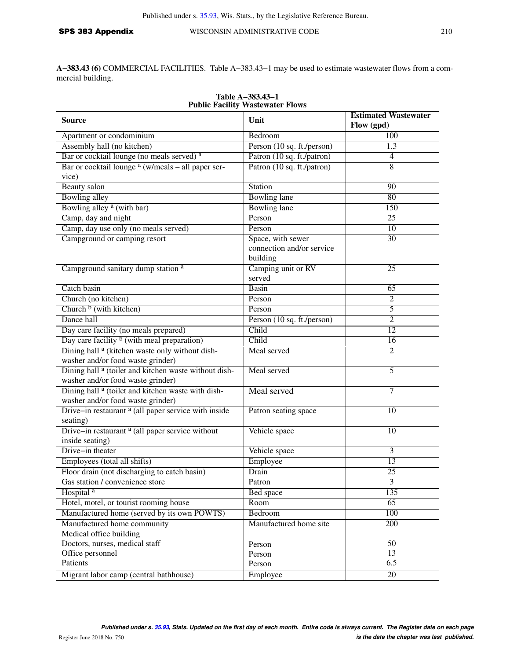**A−383.43 (6)** COMMERCIAL FACILITIES. Table A−383.43−1 may be used to estimate wastewater flows from a commercial building.

| <b>Public Facility Wastewater Flows</b>                                                               |                                                            |                                           |  |  |  |
|-------------------------------------------------------------------------------------------------------|------------------------------------------------------------|-------------------------------------------|--|--|--|
| <b>Source</b>                                                                                         | Unit                                                       | <b>Estimated Wastewater</b><br>Flow (gpd) |  |  |  |
| Apartment or condominium                                                                              | Bedroom                                                    | 100                                       |  |  |  |
| Assembly hall (no kitchen)                                                                            | Person (10 sq. ft./person)                                 | 1.3                                       |  |  |  |
| Bar or cocktail lounge (no meals served) a                                                            | Patron (10 sq. ft./patron)                                 | $\overline{4}$                            |  |  |  |
| Bar or cocktail lounge $a(w/meals - all paper ser-$                                                   | Patron (10 sq. ft./patron)                                 | $\overline{8}$                            |  |  |  |
| vice)                                                                                                 |                                                            |                                           |  |  |  |
| <b>Beauty</b> salon                                                                                   | Station                                                    | 90                                        |  |  |  |
| <b>Bowling alley</b>                                                                                  | <b>Bowling</b> lane                                        | 80                                        |  |  |  |
| Bowling alley <sup>a</sup> (with bar)                                                                 | <b>Bowling lane</b>                                        | 150                                       |  |  |  |
| Camp, day and night                                                                                   | Person                                                     | 25                                        |  |  |  |
| Camp, day use only (no meals served)                                                                  | Person                                                     | 10                                        |  |  |  |
| Campground or camping resort                                                                          | Space, with sewer<br>connection and/or service<br>building | 30                                        |  |  |  |
| Campground sanitary dump station <sup>a</sup>                                                         | Camping unit or RV<br>served                               | $\overline{25}$                           |  |  |  |
| Catch basin                                                                                           | <b>Basin</b>                                               | 65                                        |  |  |  |
| Church (no kitchen)                                                                                   | Person                                                     | $\overline{2}$                            |  |  |  |
| Church $b$ (with kitchen)                                                                             | Person                                                     | 5                                         |  |  |  |
| Dance hall                                                                                            | Person (10 sq. ft./person)                                 | $\overline{c}$                            |  |  |  |
| Day care facility (no meals prepared)                                                                 | Child                                                      | 12                                        |  |  |  |
| Day care facility $\frac{b}{c}$ (with meal preparation)                                               | Child                                                      | 16                                        |  |  |  |
| Dining hall <sup>a</sup> (kitchen waste only without dish-<br>washer and/or food waste grinder)       | Meal served                                                | $\overline{2}$                            |  |  |  |
| Dining hall <sup>a</sup> (toilet and kitchen waste without dish-<br>washer and/or food waste grinder) | Meal served                                                | 5                                         |  |  |  |
| Dining hall <sup>a</sup> (toilet and kitchen waste with dish-<br>washer and/or food waste grinder)    | Meal served                                                | 7                                         |  |  |  |
| Drive-in restaurant <sup>a</sup> (all paper service with inside<br>seating)                           | Patron seating space                                       | 10                                        |  |  |  |
| Drive-in restaurant <sup>a</sup> (all paper service without<br>inside seating)                        | Vehicle space                                              | 10                                        |  |  |  |
| Drive-in theater                                                                                      | Vehicle space                                              | 3                                         |  |  |  |
| Employees (total all shifts)                                                                          | Employee                                                   | 13                                        |  |  |  |
| Floor drain (not discharging to catch basin)                                                          | Drain                                                      | 25                                        |  |  |  |
| Gas station / convenience store                                                                       | Patron                                                     | 3                                         |  |  |  |
| Hospital <sup>a</sup>                                                                                 | <b>Bed</b> space                                           | 135                                       |  |  |  |
| Hotel, motel, or tourist rooming house                                                                | Room                                                       | 65                                        |  |  |  |
| Manufactured home (served by its own POWTS)                                                           | Bedroom                                                    | 100                                       |  |  |  |
| Manufactured home community                                                                           | Manufactured home site                                     | 200                                       |  |  |  |
| Medical office building                                                                               |                                                            |                                           |  |  |  |
| Doctors, nurses, medical staff                                                                        | Person                                                     | 50                                        |  |  |  |
| Office personnel                                                                                      | Person                                                     | 13                                        |  |  |  |
| Patients                                                                                              | Person                                                     | 6.5                                       |  |  |  |
| Migrant labor camp (central bathhouse)                                                                | Employee                                                   | 20                                        |  |  |  |

# **Table A−383.43−1**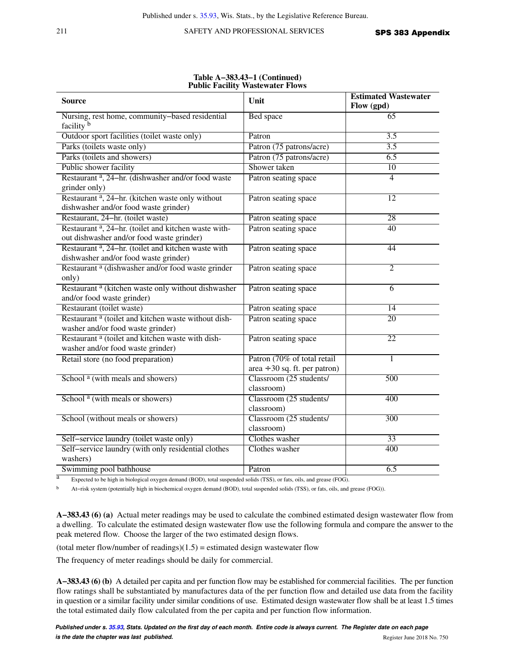211 SAFETY AND PROFESSIONAL SERVICES SPS 383 Appendix

|                                                                                                               |                                                                   | <b>Estimated Wastewater</b> |
|---------------------------------------------------------------------------------------------------------------|-------------------------------------------------------------------|-----------------------------|
| <b>Source</b>                                                                                                 | Unit                                                              | Flow (gpd)                  |
| Nursing, rest home, community-based residential<br>facility b                                                 | <b>Bed</b> space                                                  | 65                          |
| Outdoor sport facilities (toilet waste only)                                                                  | Patron                                                            | 3.5                         |
| Parks (toilets waste only)                                                                                    | Patron (75 patrons/acre)                                          | 3.5                         |
| Parks (toilets and showers)                                                                                   | Patron (75 patrons/acre)                                          | 6.5                         |
| Public shower facility                                                                                        | Shower taken                                                      | $\overline{10}$             |
| Restaurant <sup>a</sup> , 24-hr. (dishwasher and/or food waste<br>grinder only)                               | Patron seating space                                              | $\overline{4}$              |
| Restaurant <sup>a</sup> , 24-hr. (kitchen waste only without<br>dishwasher and/or food waste grinder)         | Patron seating space                                              | 12                          |
| Restaurant, 24-hr. (toilet waste)                                                                             | Patron seating space                                              | 28                          |
| Restaurant <sup>a</sup> , 24-hr. (toilet and kitchen waste with-<br>out dishwasher and/or food waste grinder) | Patron seating space                                              | 40                          |
| Restaurant <sup>a</sup> , 24-hr. (toilet and kitchen waste with<br>dishwasher and/or food waste grinder)      | Patron seating space                                              | 44                          |
| Restaurant <sup>a</sup> (dishwasher and/or food waste grinder<br>only)                                        | Patron seating space                                              | $\overline{2}$              |
| Restaurant <sup>a</sup> (kitchen waste only without dishwasher<br>and/or food waste grinder)                  | Patron seating space                                              | $\overline{6}$              |
| Restaurant (toilet waste)                                                                                     | Patron seating space                                              | 14                          |
| Restaurant <sup>a</sup> (toilet and kitchen waste without dish-<br>washer and/or food waste grinder)          | Patron seating space                                              | 20                          |
| Restaurant <sup>a</sup> (toilet and kitchen waste with dish-<br>washer and/or food waste grinder)             | Patron seating space                                              | 22                          |
| Retail store (no food preparation)                                                                            | Patron (70% of total retail<br>$area \div 30$ sq. ft. per patron) | $\mathbf{1}$                |
| School <sup>a</sup> (with meals and showers)                                                                  | Classroom (25 students/<br>classroom)                             | 500                         |
| School <sup>a</sup> (with meals or showers)                                                                   | Classroom (25 students/<br>classroom)                             | 400                         |
| School (without meals or showers)                                                                             | Classroom (25 students/<br>classroom)                             | 300                         |
| Self-service laundry (toilet waste only)                                                                      | Clothes washer                                                    | 33                          |
| Self-service laundry (with only residential clothes<br>washers)                                               | Clothes washer                                                    | 400                         |
| Swimming pool bathhouse                                                                                       | Patron                                                            | 6.5                         |
|                                                                                                               |                                                                   |                             |

#### **Table A−383.43−1 (Continued) Public Facility Wastewater Flows**

Expected to be high in biological oxygen demand (BOD), total suspended solids (TSS), or fats, oils, and grease (FOG).

b At−risk system (potentially high in biochemical oxygen demand (BOD), total suspended solids (TSS), or fats, oils, and grease (FOG)).

**A−383.43 (6) (a)** Actual meter readings may be used to calculate the combined estimated design wastewater flow from a dwelling. To calculate the estimated design wastewater flow use the following formula and compare the answer to the peak metered flow. Choose the larger of the two estimated design flows.

(total meter flow/number of readings) $(1.5)$  = estimated design wastewater flow

The frequency of meter readings should be daily for commercial.

**A−383.43 (6) (b)** A detailed per capita and per function flow may be established for commercial facilities. The per function flow ratings shall be substantiated by manufactures data of the per function flow and detailed use data from the facility in question or a similar facility under similar conditions of use. Estimated design wastewater flow shall be at least 1.5 times the total estimated daily flow calculated from the per capita and per function flow information.

**Published under s. [35.93,](https://docs-preview.legis.wisconsin.gov/document/statutes/35.93) Stats. Updated on the first day of each month. Entire code is always current. The Register date on each page is the date the chapter was last published. is the date the chapter was last published.** Register June 2018 No. 750